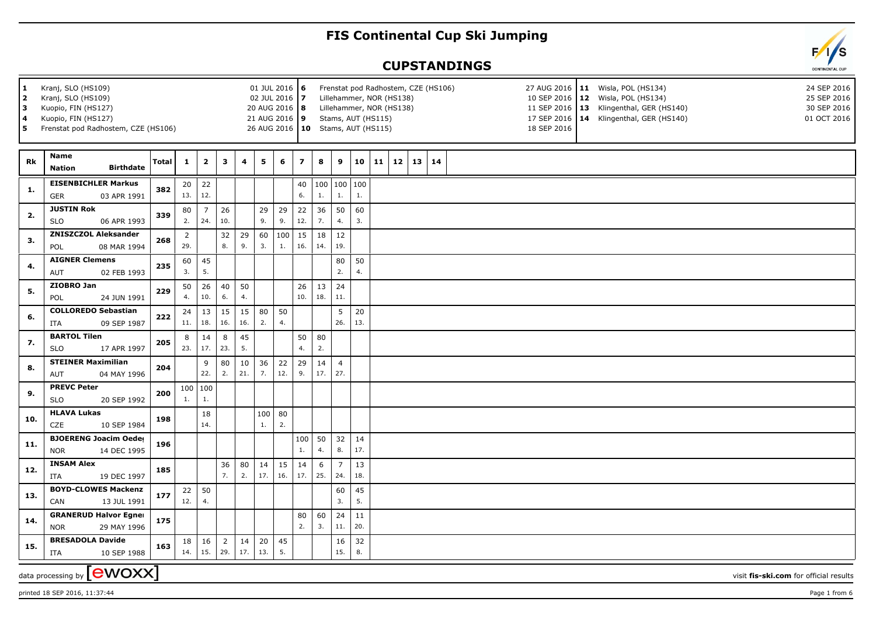## **FIS Continental Cup Ski Jumping**

## **CUPSTANDINGS**

| $\mathbf{1}$<br>$\mathbf{2}$<br>3<br>4<br>5 | Kranj, SLO (HS109)<br>Kranj, SLO (HS109)<br>Kuopio, FIN (HS127)<br>Kuopio, FIN (HS127)<br>Frenstat pod Radhostem, CZE (HS106) |       |                        | 01 JUL 2016 6<br>02 JUL 2016 7<br>20 AUG 2016   8<br>21 AUG 2016 9 |                       |                |           |                       | Frenstat pod Radhostem, CZE (HS106)<br>27 AUG 2016   11 Wisla, POL (HS134)<br>24 SEP 2016<br>Lillehammer, NOR (HS138)<br>10 SEP 2016 12 Wisla, POL (HS134)<br>25 SEP 2016<br>Lillehammer, NOR (HS138)<br>11 SEP 2016   13 Klingenthal, GER (HS140)<br>30 SEP 2016<br>Stams, AUT (HS115)<br>17 SEP 2016   14 Klingenthal, GER (HS140)<br>01 OCT 2016<br>26 AUG 2016   10 Stams, AUT (HS115)<br>18 SEP 2016 |           |                       |           |    |                      |  |  |  |  |  |  |                                        |
|---------------------------------------------|-------------------------------------------------------------------------------------------------------------------------------|-------|------------------------|--------------------------------------------------------------------|-----------------------|----------------|-----------|-----------------------|-----------------------------------------------------------------------------------------------------------------------------------------------------------------------------------------------------------------------------------------------------------------------------------------------------------------------------------------------------------------------------------------------------------|-----------|-----------------------|-----------|----|----------------------|--|--|--|--|--|--|----------------------------------------|
| Rk                                          | <b>Name</b><br><b>Birthdate</b><br><b>Nation</b>                                                                              | Total | $\mathbf{1}$           | $\overline{2}$                                                     | 3                     | $\overline{4}$ | 5         | 6                     | $\overline{z}$                                                                                                                                                                                                                                                                                                                                                                                            | 8         | 9                     | 10        | 11 | $12 \mid 13 \mid 14$ |  |  |  |  |  |  |                                        |
| 1.                                          | <b>EISENBICHLER Markus</b><br>03 APR 1991<br><b>GER</b>                                                                       | 382   | 20<br>13.              | 22<br>12.                                                          |                       |                |           |                       | 40<br>6.                                                                                                                                                                                                                                                                                                                                                                                                  | 1.        | 100   100   100<br>1. | 1.        |    |                      |  |  |  |  |  |  |                                        |
| 2.                                          | <b>JUSTIN Rok</b><br><b>SLO</b><br>06 APR 1993                                                                                | 339   | 80<br>2.               | $\overline{7}$<br>24.                                              | 26<br>10.             |                | 29<br>9.  | 29<br>9.              | 22<br>12.                                                                                                                                                                                                                                                                                                                                                                                                 | 36<br>7.  | 50<br>4.              | 60<br>3.  |    |                      |  |  |  |  |  |  |                                        |
| 3.                                          | <b>ZNISZCZOL Aleksander</b><br>POL<br>08 MAR 1994                                                                             | 268   | $\overline{2}$<br>29.  |                                                                    | 32<br>8.              | 29<br>9.       | 60<br>3.  | 100<br>$\mathbf{1}$ . | 15<br>16.                                                                                                                                                                                                                                                                                                                                                                                                 | 18<br>14. | 12<br>19.             |           |    |                      |  |  |  |  |  |  |                                        |
| 4.                                          | <b>AIGNER Clemens</b><br>02 FEB 1993<br>AUT                                                                                   | 235   | 60<br>3.               | 45<br>5.                                                           |                       |                |           |                       |                                                                                                                                                                                                                                                                                                                                                                                                           |           | 80<br>2.              | 50<br>4.  |    |                      |  |  |  |  |  |  |                                        |
| 5.                                          | ZIOBRO Jan<br>POL<br>24 JUN 1991                                                                                              | 229   | 50<br>4.               | 26<br>10.                                                          | 40<br>6.              | 50<br>4.       |           |                       | 26<br>10.                                                                                                                                                                                                                                                                                                                                                                                                 | 13<br>18. | 24<br>11.             |           |    |                      |  |  |  |  |  |  |                                        |
| 6.                                          | <b>COLLOREDO Sebastian</b><br>09 SEP 1987<br>ITA                                                                              | 222   | 24<br>11.              | 13<br>18.                                                          | 15<br>16.             | 15<br>16.      | 80<br>2.  | 50<br>4.              |                                                                                                                                                                                                                                                                                                                                                                                                           |           | 5<br>26.              | 20<br>13. |    |                      |  |  |  |  |  |  |                                        |
| 7.                                          | <b>BARTOL Tilen</b><br><b>SLO</b><br>17 APR 1997                                                                              | 205   | 8<br>23.               | 14<br>17.                                                          | 8<br>23.              | 45<br>5.       |           |                       | 50<br>4.                                                                                                                                                                                                                                                                                                                                                                                                  | 80<br>2.  |                       |           |    |                      |  |  |  |  |  |  |                                        |
| 8.                                          | <b>STEINER Maximilian</b><br><b>AUT</b><br>04 MAY 1996                                                                        | 204   |                        | 9<br>22.                                                           | 80<br>2.              | 10<br>21.      | 36<br>7.  | 22<br>12.             | 29<br>9.                                                                                                                                                                                                                                                                                                                                                                                                  | 14<br>17. | $\overline{4}$<br>27. |           |    |                      |  |  |  |  |  |  |                                        |
| 9.                                          | <b>PREVC Peter</b><br><b>SLO</b><br>20 SEP 1992                                                                               | 200   | 1.                     | 100   100<br>1.                                                    |                       |                |           |                       |                                                                                                                                                                                                                                                                                                                                                                                                           |           |                       |           |    |                      |  |  |  |  |  |  |                                        |
| 10.                                         | <b>HLAVA Lukas</b><br>CZE<br>10 SEP 1984                                                                                      | 198   |                        | 18<br>14.                                                          |                       |                | 100<br>1. | 80<br>2.              |                                                                                                                                                                                                                                                                                                                                                                                                           |           |                       |           |    |                      |  |  |  |  |  |  |                                        |
| 11.                                         | <b>BJOERENG Joacim Oeder</b><br><b>NOR</b><br>14 DEC 1995                                                                     | 196   |                        |                                                                    |                       |                |           |                       | 100<br>1.                                                                                                                                                                                                                                                                                                                                                                                                 | 50<br>4.  | 32<br>8.              | 14<br>17. |    |                      |  |  |  |  |  |  |                                        |
| 12.                                         | <b>INSAM Alex</b><br><b>ITA</b><br>19 DEC 1997                                                                                | 185   |                        |                                                                    | 36<br>7.              | 80<br>2.       | 14<br>17. | 15<br>16.             | 14<br>17.                                                                                                                                                                                                                                                                                                                                                                                                 | 6<br>25.  | $\overline{7}$<br>24. | 13<br>18. |    |                      |  |  |  |  |  |  |                                        |
| 13.                                         | <b>BOYD-CLOWES Mackenzi</b><br><b>CAN</b><br>13 JUL 1991                                                                      | 177   | 22<br>12.              | 50<br>4.                                                           |                       |                |           |                       |                                                                                                                                                                                                                                                                                                                                                                                                           |           | 60<br>3.              | 45<br>5.  |    |                      |  |  |  |  |  |  |                                        |
| 14.                                         | <b>GRANERUD Halvor Egner</b><br>29 MAY 1996<br><b>NOR</b>                                                                     | 175   |                        |                                                                    |                       |                |           |                       | 80<br>2.                                                                                                                                                                                                                                                                                                                                                                                                  | 60<br>3.  | 24<br>11.             | 11<br>20. |    |                      |  |  |  |  |  |  |                                        |
| 15.                                         | <b>BRESADOLA Davide</b><br>10 SEP 1988<br><b>ITA</b>                                                                          | 163   | 18 <sup>1</sup><br>14. | 16<br>15.                                                          | $\overline{2}$<br>29. | 14<br>17.      | 20<br>13. | 45<br>5.              |                                                                                                                                                                                                                                                                                                                                                                                                           |           | 16<br>15.             | 32<br>8.  |    |                      |  |  |  |  |  |  |                                        |
|                                             | data processing by $\left[\begin{array}{l}\text{ewoxx}\end{array}\right]$                                                     |       |                        |                                                                    |                       |                |           |                       |                                                                                                                                                                                                                                                                                                                                                                                                           |           |                       |           |    |                      |  |  |  |  |  |  | visit fis-ski.com for official results |

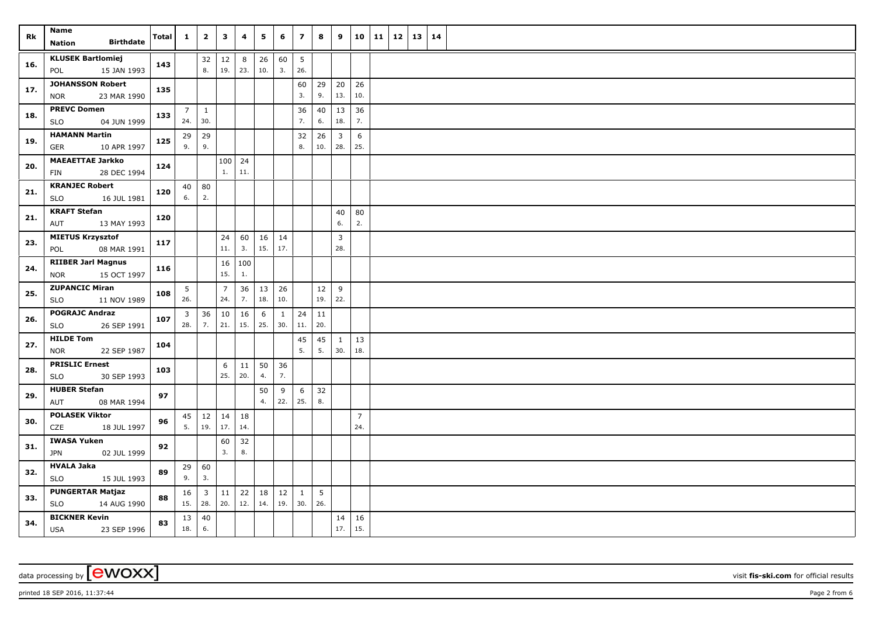| Rk  | Name<br><b>Birthdate</b><br><b>Nation</b>              | <b>Total</b> | $\mathbf{1}$          | $\overline{2}$              | $\mathbf{3}$          | $\overline{\mathbf{4}}$ | 5         | 6                   | $\overline{z}$      | 8         | 9                     | 10                    | 11 | 12 | 13 | $\vert$ 14 |  |
|-----|--------------------------------------------------------|--------------|-----------------------|-----------------------------|-----------------------|-------------------------|-----------|---------------------|---------------------|-----------|-----------------------|-----------------------|----|----|----|------------|--|
| 16. | <b>KLUSEK Bartlomiej</b><br>15 JAN 1993<br>POL         | 143          |                       | 32<br>8.                    | 12<br>19.             | 8<br>23.                | 26<br>10. | 60<br>3.            | 5<br>26.            |           |                       |                       |    |    |    |            |  |
| 17. | <b>JOHANSSON Robert</b><br>23 MAR 1990<br><b>NOR</b>   | 135          |                       |                             |                       |                         |           |                     | 60<br>3.            | 29<br>9.  | 20<br>13.             | 26<br>10.             |    |    |    |            |  |
| 18. | <b>PREVC Domen</b><br>04 JUN 1999<br>SLO               | 133          | $\overline{7}$<br>24. | $\mathbf{1}$<br>30.         |                       |                         |           |                     | 36<br>7.            | 40<br>6.  | 13<br>18.             | 36<br>7.              |    |    |    |            |  |
| 19. | <b>HAMANN Martin</b><br>10 APR 1997<br>GER             | 125          | 29<br>9.              | 29<br>9.                    |                       |                         |           |                     | 32<br>8.            | 26<br>10. | $\overline{3}$<br>28. | 6<br>25.              |    |    |    |            |  |
| 20. | <b>MAEAETTAE Jarkko</b><br>28 DEC 1994<br><b>FIN</b>   | 124          |                       |                             | 1.                    | $100$   24<br>11.       |           |                     |                     |           |                       |                       |    |    |    |            |  |
| 21. | <b>KRANJEC Robert</b><br><b>SLO</b><br>16 JUL 1981     | 120          | 40<br>6.              | 80<br>2.                    |                       |                         |           |                     |                     |           |                       |                       |    |    |    |            |  |
| 21. | <b>KRAFT Stefan</b><br>13 MAY 1993<br>AUT              | 120          |                       |                             |                       |                         |           |                     |                     |           | 40<br>6.              | 80<br>$2.$            |    |    |    |            |  |
| 23. | <b>MIETUS Krzysztof</b><br>08 MAR 1991<br>POL          | 117          |                       |                             | 24<br>11.             | 60<br>3.                | 16<br>15. | $\vert$ 14<br>17.   |                     |           | $\overline{3}$<br>28. |                       |    |    |    |            |  |
| 24. | <b>RIIBER Jarl Magnus</b><br>15 OCT 1997<br><b>NOR</b> | 116          |                       |                             | 16<br>15.             | 100<br>1.               |           |                     |                     |           |                       |                       |    |    |    |            |  |
| 25. | <b>ZUPANCIC Miran</b><br><b>SLO</b><br>11 NOV 1989     | 108          | 5<br>26.              |                             | $\overline{7}$<br>24. | 36<br>7.                | 13<br>18. | 26<br>10.           |                     | 12<br>19. | $9\,$<br>22.          |                       |    |    |    |            |  |
| 26. | <b>POGRAJC Andraz</b><br>26 SEP 1991<br>SLO            | 107          | 3<br>28.              | 36<br>7.                    | 10<br>21.             | 16<br>15.               | 6<br>25.  | $\mathbf{1}$<br>30. | 24<br>11.           | 11<br>20. |                       |                       |    |    |    |            |  |
| 27. | <b>HILDE Tom</b><br>22 SEP 1987<br><b>NOR</b>          | 104          |                       |                             |                       |                         |           |                     | 45<br>5.            | 45<br>5.  | 1<br>30.              | 13<br>18.             |    |    |    |            |  |
| 28. | <b>PRISLIC Ernest</b><br>30 SEP 1993<br><b>SLO</b>     | 103          |                       |                             | 6<br>25.              | 11<br>20.               | 50<br>4.  | 36<br>7.            |                     |           |                       |                       |    |    |    |            |  |
| 29. | <b>HUBER Stefan</b><br>08 MAR 1994<br>AUT              | 97           |                       |                             |                       |                         | 50<br>4.  | 9<br>22.            | 6<br>25.            | 32<br>8.  |                       |                       |    |    |    |            |  |
| 30. | <b>POLASEK Viktor</b><br>CZE<br>18 JUL 1997            | 96           | 45<br>5.              | 12<br>19.                   | 14<br>17.             | 18<br>14.               |           |                     |                     |           |                       | $\overline{7}$<br>24. |    |    |    |            |  |
| 31. | <b>IWASA Yuken</b><br><b>JPN</b><br>02 JUL 1999        | 92           |                       |                             | 60<br>3.              | 32<br>8.                |           |                     |                     |           |                       |                       |    |    |    |            |  |
| 32. | <b>HVALA Jaka</b><br><b>SLO</b><br>15 JUL 1993         | 89           | 29<br>9.              | 60<br>3.                    |                       |                         |           |                     |                     |           |                       |                       |    |    |    |            |  |
| 33. | <b>PUNGERTAR Matjaz</b><br><b>SLO</b><br>14 AUG 1990   | 88           | 16                    | $\overline{3}$<br>$15.$ 28. | $11\,$<br>20.         | 22<br>12.               | 18<br>14. | 12<br>19.           | $\mathbf{1}$<br>30. | 5<br>26.  |                       |                       |    |    |    |            |  |
| 34. | <b>BICKNER Kevin</b><br><b>USA</b><br>23 SEP 1996      | 83           | 18.                   | $13 \mid 40$<br>6.          |                       |                         |           |                     |                     |           | 14<br>17.             | 16<br>15.             |    |    |    |            |  |

printed 18 SEP 2016, 11:37:44 Page 2 from 6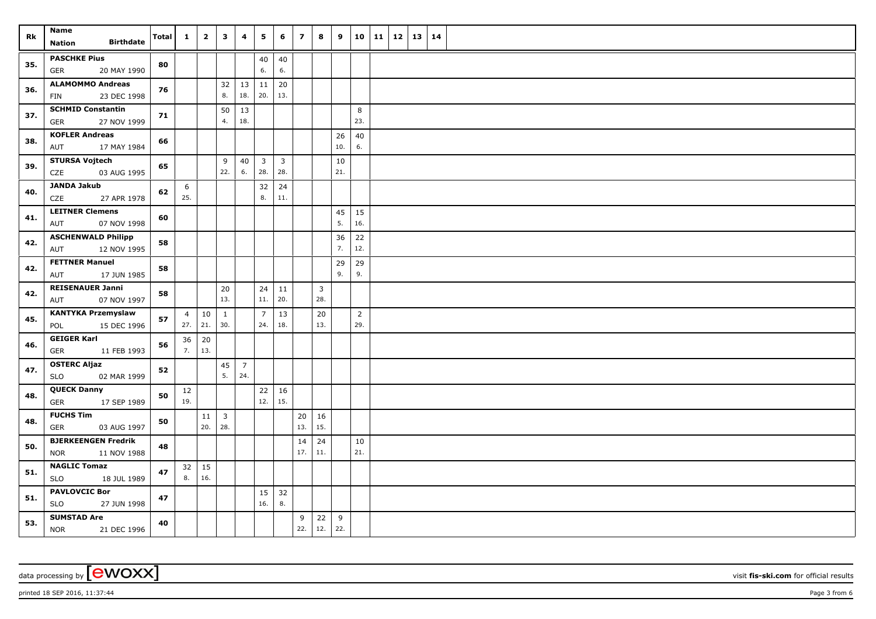| Rk  | Name<br><b>Birthdate</b><br><b>Nation</b>               | Total | $\mathbf{1}$   | $\overline{2}$  | 3                       | 4                     | 5                              | 6                              | $\overline{\mathbf{z}}$ | 8                              | 9         | 10                    | 11 | $12 \mid 13$ | 14 |  |
|-----|---------------------------------------------------------|-------|----------------|-----------------|-------------------------|-----------------------|--------------------------------|--------------------------------|-------------------------|--------------------------------|-----------|-----------------------|----|--------------|----|--|
|     |                                                         |       |                |                 |                         |                       |                                |                                |                         |                                |           |                       |    |              |    |  |
| 35. | <b>PASCHKE Pius</b><br><b>GER</b><br>20 MAY 1990        | 80    |                |                 |                         |                       | 40<br>6.                       | 40<br>6.                       |                         |                                |           |                       |    |              |    |  |
| 36. | <b>ALAMOMMO Andreas</b><br>23 DEC 1998<br>FIN           | 76    |                |                 | 32<br>8.                | 13<br>18.             | 11<br>20.                      | 20<br>13.                      |                         |                                |           |                       |    |              |    |  |
| 37. | <b>SCHMID Constantin</b><br><b>GER</b><br>27 NOV 1999   | 71    |                |                 | 50<br>4.                | 13<br>18.             |                                |                                |                         |                                |           | 8<br>23.              |    |              |    |  |
| 38. | <b>KOFLER Andreas</b><br>17 MAY 1984<br>AUT             | 66    |                |                 |                         |                       |                                |                                |                         |                                | 26<br>10. | 40<br>$6. \,$         |    |              |    |  |
|     |                                                         |       |                |                 |                         |                       |                                |                                |                         |                                |           |                       |    |              |    |  |
| 39. | <b>STURSA Vojtech</b><br>CZE<br>03 AUG 1995             | 65    |                |                 | 9<br>22.                | 40<br>6.              | $\overline{\mathbf{3}}$<br>28. | $\overline{\mathbf{3}}$<br>28. |                         |                                | 10<br>21. |                       |    |              |    |  |
| 40. | <b>JANDA Jakub</b><br>CZE<br>27 APR 1978                | 62    | 6<br>25.       |                 |                         |                       | 32<br>8.                       | 24<br>11.                      |                         |                                |           |                       |    |              |    |  |
| 41. | <b>LEITNER Clemens</b><br>07 NOV 1998<br>AUT            | 60    |                |                 |                         |                       |                                |                                |                         |                                | 45<br>5.  | 15<br>16.             |    |              |    |  |
|     | <b>ASCHENWALD Philipp</b>                               |       |                |                 |                         |                       |                                |                                |                         |                                | 36        | 22                    |    |              |    |  |
| 42. | 12 NOV 1995<br>AUT                                      | 58    |                |                 |                         |                       |                                |                                |                         |                                | 7.        | 12.                   |    |              |    |  |
| 42. | <b>FETTNER Manuel</b><br>17 JUN 1985<br>AUT             | 58    |                |                 |                         |                       |                                |                                |                         |                                | 29<br>9.  | 29<br>9.              |    |              |    |  |
| 42. | <b>REISENAUER Janni</b><br>07 NOV 1997<br>AUT           | 58    |                |                 | 20<br>13.               |                       | 24<br>11.                      | 11<br>20.                      |                         | $\overline{\mathbf{3}}$<br>28. |           |                       |    |              |    |  |
| 45. | <b>KANTYKA Przemyslaw</b><br>POL<br>15 DEC 1996         | 57    | $\overline{4}$ | 10<br>$27.$ 21. | $\mathbf{1}$<br>30.     |                       | $\overline{7}$<br>24.          | 13<br>18.                      |                         | 20<br>13.                      |           | $\overline{2}$<br>29. |    |              |    |  |
|     | <b>GEIGER Karl</b>                                      |       | 36             | 20              |                         |                       |                                |                                |                         |                                |           |                       |    |              |    |  |
| 46. | <b>GER</b><br>11 FEB 1993                               | 56    | 7.             | $\vert$ 13.     |                         |                       |                                |                                |                         |                                |           |                       |    |              |    |  |
| 47. | <b>OSTERC Aljaz</b><br>02 MAR 1999<br><b>SLO</b>        | 52    |                |                 | 45<br>5.                | $\overline{7}$<br>24. |                                |                                |                         |                                |           |                       |    |              |    |  |
| 48. | <b>QUECK Danny</b><br>17 SEP 1989<br><b>GER</b>         | 50    | 12<br>19.      |                 |                         |                       | 22<br>12.                      | 16<br>15.                      |                         |                                |           |                       |    |              |    |  |
|     | <b>FUCHS Tim</b>                                        |       |                | 11              | $\overline{\mathbf{3}}$ |                       |                                |                                | 20                      | 16                             |           |                       |    |              |    |  |
| 48. | <b>GER</b><br>03 AUG 1997                               | 50    |                | 20.             | 28.                     |                       |                                |                                | 13.                     | 15.                            |           |                       |    |              |    |  |
| 50. | <b>BJERKEENGEN Fredrik</b><br><b>NOR</b><br>11 NOV 1988 | 48    |                |                 |                         |                       |                                |                                | 14<br>17.               | 24<br>11.                      |           | 10<br>21.             |    |              |    |  |
| 51. | <b>NAGLIC Tomaz</b>                                     | 47    |                | $32 \mid 15$    |                         |                       |                                |                                |                         |                                |           |                       |    |              |    |  |
|     | <b>SLO</b><br>18 JUL 1989                               |       | 8.             | 16.             |                         |                       |                                |                                |                         |                                |           |                       |    |              |    |  |
| 51. | <b>PAVLOVCIC Bor</b><br><b>SLO</b><br>27 JUN 1998       | 47    |                |                 |                         |                       | 15<br>16.                      | 32<br>8.                       |                         |                                |           |                       |    |              |    |  |
| 53. | <b>SUMSTAD Are</b><br><b>NOR</b><br>21 DEC 1996         | 40    |                |                 |                         |                       |                                |                                | 9<br>22.                | $22 \mid 9$<br>12.             | 22.       |                       |    |              |    |  |

data processing by **CWOXX** visit fis-ski.com for official results

printed 18 SEP 2016, 11:37:44 Page 3 from 6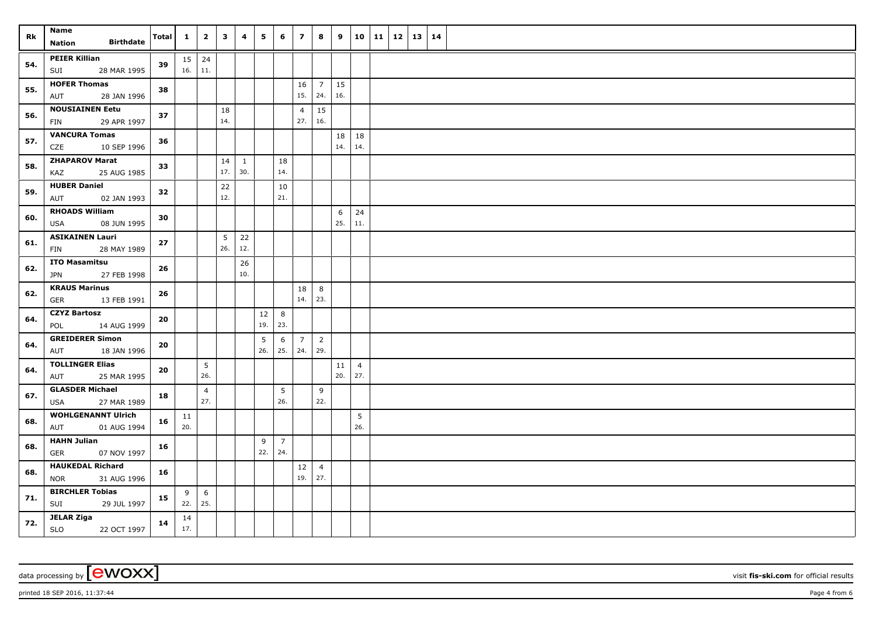| Rk  | Name                                                 | Total | $\mathbf{1}$   | $\overline{2}$        | $\mathbf{3}$ | 4         | 5         | 6                     | $\overline{7}$        | 8                     | 9         | 10                    | $11 \mid 12 \mid$ | 13   14 |  |
|-----|------------------------------------------------------|-------|----------------|-----------------------|--------------|-----------|-----------|-----------------------|-----------------------|-----------------------|-----------|-----------------------|-------------------|---------|--|
|     | <b>Birthdate</b><br>Nation                           |       |                |                       |              |           |           |                       |                       |                       |           |                       |                   |         |  |
| 54. | <b>PEIER Killian</b><br>28 MAR 1995<br>SUI           | 39    | $15 \mid 24$   | $16. \ 11.$           |              |           |           |                       |                       |                       |           |                       |                   |         |  |
| 55. | <b>HOFER Thomas</b><br>AUT<br>28 JAN 1996            | 38    |                |                       |              |           |           |                       | 16<br>15.             | $\overline{7}$<br>24. | 15<br>16. |                       |                   |         |  |
| 56. | <b>NOUSIAINEN Eetu</b><br>FIN<br>29 APR 1997         | 37    |                |                       | 18<br>14.    |           |           |                       | $\overline{4}$<br>27. | 15<br>16.             |           |                       |                   |         |  |
| 57. | <b>VANCURA Tomas</b><br>CZE<br>10 SEP 1996           | 36    |                |                       |              |           |           |                       |                       |                       | 18<br>14. | 18<br>14.             |                   |         |  |
| 58. | <b>ZHAPAROV Marat</b><br>KAZ<br>25 AUG 1985          | 33    |                |                       | 14<br>17.    | 1<br>30.  |           | 18<br>14.             |                       |                       |           |                       |                   |         |  |
| 59. | <b>HUBER Daniel</b><br>02 JAN 1993<br>AUT            | 32    |                |                       | 22<br>12.    |           |           | 10<br>21.             |                       |                       |           |                       |                   |         |  |
| 60. | <b>RHOADS William</b><br>08 JUN 1995<br>USA          | 30    |                |                       |              |           |           |                       |                       |                       | 6<br>25.  | 24<br>11.             |                   |         |  |
| 61. | <b>ASIKAINEN Lauri</b><br>FIN<br>28 MAY 1989         | 27    |                |                       | 5<br>26.     | 22<br>12. |           |                       |                       |                       |           |                       |                   |         |  |
| 62. | <b>ITO Masamitsu</b><br><b>JPN</b><br>27 FEB 1998    | 26    |                |                       |              | 26<br>10. |           |                       |                       |                       |           |                       |                   |         |  |
| 62. | <b>KRAUS Marinus</b><br><b>GER</b><br>13 FEB 1991    | 26    |                |                       |              |           |           |                       | 18<br>14.             | 8<br>23.              |           |                       |                   |         |  |
| 64. | <b>CZYZ Bartosz</b><br>POL<br>14 AUG 1999            | 20    |                |                       |              |           | 12<br>19. | 8<br>23.              |                       |                       |           |                       |                   |         |  |
| 64. | <b>GREIDERER Simon</b><br>AUT<br>18 JAN 1996         | 20    |                |                       |              |           | 5<br>26.  | 6<br>25.              | $\overline{7}$<br>24. | $\overline{2}$<br>29. |           |                       |                   |         |  |
| 64. | <b>TOLLINGER Elias</b><br>25 MAR 1995<br>AUT         | 20    |                | 5 <sup>5</sup><br>26. |              |           |           |                       |                       |                       | 11<br>20. | $\overline{4}$<br>27. |                   |         |  |
| 67. | <b>GLASDER Michael</b><br>27 MAR 1989<br><b>USA</b>  | 18    |                | $\overline{4}$<br>27. |              |           |           | 5<br>26.              |                       | 9<br>22.              |           |                       |                   |         |  |
| 68. | <b>WOHLGENANNT Ulrich</b><br>01 AUG 1994<br>AUT      | 16    | 11<br>20.      |                       |              |           |           |                       |                       |                       |           | 5<br>26.              |                   |         |  |
| 68. | <b>HAHN Julian</b><br><b>GER</b><br>07 NOV 1997      | 16    |                |                       |              |           | 9<br>22.  | $\overline{7}$<br>24. |                       |                       |           |                       |                   |         |  |
| 68. | <b>HAUKEDAL Richard</b><br>31 AUG 1996<br><b>NOR</b> | 16    |                |                       |              |           |           |                       | 12<br>19.             | $\overline{4}$<br>27. |           |                       |                   |         |  |
| 71. | <b>BIRCHLER Tobias</b><br>SUI<br>29 JUL 1997         | 15    | 9<br>$22.$ 25. | 6                     |              |           |           |                       |                       |                       |           |                       |                   |         |  |
| 72. | JELAR Ziga<br><b>SLO</b><br>22 OCT 1997              | 14    | 14<br>17.      |                       |              |           |           |                       |                       |                       |           |                       |                   |         |  |

data processing by **CWOXX** visit **fis-ski.com** for official results

printed 18 SEP 2016, 11:37:44 Page 4 from 6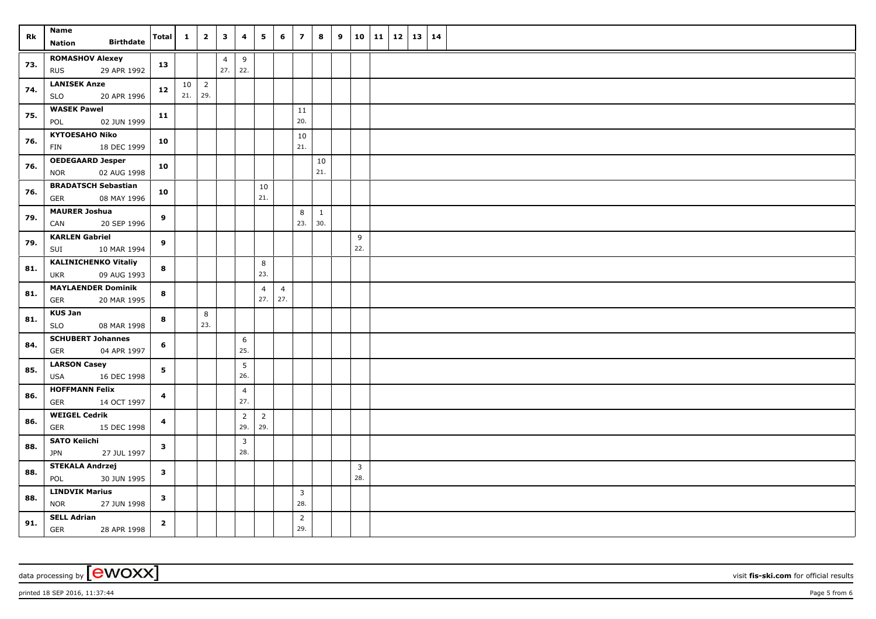|     | Name                                            |                         | $\mathbf{1}$ | $\overline{2}$ | $\overline{\mathbf{3}}$ | 4              | 5              | 6              | $\overline{z}$        | 8                   | 9 | 10   11      | 12   13   14 |  |  |
|-----|-------------------------------------------------|-------------------------|--------------|----------------|-------------------------|----------------|----------------|----------------|-----------------------|---------------------|---|--------------|--------------|--|--|
| Rk  | <b>Birthdate</b><br>Nation                      | Total                   |              |                |                         |                |                |                |                       |                     |   |              |              |  |  |
| 73. | <b>ROMASHOV Alexey</b>                          |                         |              |                | $\overline{4}$          | 9              |                |                |                       |                     |   |              |              |  |  |
|     | <b>RUS</b><br>29 APR 1992                       | 13                      |              |                | 27.                     | 22.            |                |                |                       |                     |   |              |              |  |  |
| 74. | <b>LANISEK Anze</b>                             | $12$                    | 10           | $\overline{2}$ |                         |                |                |                |                       |                     |   |              |              |  |  |
|     | 20 APR 1996<br><b>SLO</b>                       |                         | 21.          | 29.            |                         |                |                |                |                       |                     |   |              |              |  |  |
| 75. | <b>WASEK Pawel</b>                              | 11                      |              |                |                         |                |                |                | 11                    |                     |   |              |              |  |  |
|     | 02 JUN 1999<br>POL                              |                         |              |                |                         |                |                |                | 20.                   |                     |   |              |              |  |  |
| 76. | <b>KYTOESAHO Niko</b>                           | 10                      |              |                |                         |                |                |                | 10                    |                     |   |              |              |  |  |
|     | 18 DEC 1999<br><b>FIN</b>                       |                         |              |                |                         |                |                |                | 21.                   |                     |   |              |              |  |  |
| 76. | <b>OEDEGAARD Jesper</b>                         | 10                      |              |                |                         |                |                |                |                       | 10                  |   |              |              |  |  |
|     | 02 AUG 1998<br><b>NOR</b>                       |                         |              |                |                         |                |                |                |                       | 21.                 |   |              |              |  |  |
| 76. | <b>BRADATSCH Sebastian</b>                      | 10                      |              |                |                         |                | 10             |                |                       |                     |   |              |              |  |  |
|     | GER<br>08 MAY 1996                              |                         |              |                |                         |                | 21.            |                |                       |                     |   |              |              |  |  |
| 79. | <b>MAURER Joshua</b>                            | 9                       |              |                |                         |                |                |                | 8<br>23.              | $\mathbf{1}$<br>30. |   |              |              |  |  |
|     | 20 SEP 1996<br>CAN                              |                         |              |                |                         |                |                |                |                       |                     |   |              |              |  |  |
| 79. | <b>KARLEN Gabriel</b><br>SUI<br>10 MAR 1994     | 9                       |              |                |                         |                |                |                |                       |                     |   | $\,9$<br>22. |              |  |  |
|     | <b>KALINICHENKO Vitaliy</b>                     |                         |              |                |                         |                |                |                |                       |                     |   |              |              |  |  |
| 81. | <b>UKR</b><br>09 AUG 1993                       | 8                       |              |                |                         |                | 8<br>23.       |                |                       |                     |   |              |              |  |  |
|     | <b>MAYLAENDER Dominik</b>                       |                         |              |                |                         |                | $\overline{4}$ | $\overline{4}$ |                       |                     |   |              |              |  |  |
| 81. | GER<br>20 MAR 1995                              | 8                       |              |                |                         |                | 27.            | 27.            |                       |                     |   |              |              |  |  |
|     | <b>KUS Jan</b>                                  |                         |              | 8              |                         |                |                |                |                       |                     |   |              |              |  |  |
| 81. | <b>SLO</b><br>08 MAR 1998                       | 8                       |              | 23.            |                         |                |                |                |                       |                     |   |              |              |  |  |
|     | <b>SCHUBERT Johannes</b>                        |                         |              |                |                         | 6              |                |                |                       |                     |   |              |              |  |  |
| 84. | 04 APR 1997<br><b>GER</b>                       | 6                       |              |                |                         | 25.            |                |                |                       |                     |   |              |              |  |  |
| 85. | <b>LARSON Casey</b>                             | 5                       |              |                |                         | 5              |                |                |                       |                     |   |              |              |  |  |
|     | 16 DEC 1998<br><b>USA</b>                       |                         |              |                |                         | 26.            |                |                |                       |                     |   |              |              |  |  |
| 86. | <b>HOFFMANN Felix</b>                           | $\overline{\mathbf{4}}$ |              |                |                         | $\overline{4}$ |                |                |                       |                     |   |              |              |  |  |
|     | 14 OCT 1997<br><b>GER</b>                       |                         |              |                |                         | 27.            |                |                |                       |                     |   |              |              |  |  |
| 86. | <b>WEIGEL Cedrik</b>                            | $\overline{\mathbf{4}}$ |              |                |                         | $\overline{2}$ | $\overline{2}$ |                |                       |                     |   |              |              |  |  |
|     | GER<br>15 DEC 1998                              |                         |              |                |                         | 29.            | 29.            |                |                       |                     |   |              |              |  |  |
| 88. | <b>SATO Keiichi</b>                             | $\mathbf{3}$            |              |                |                         | 3              |                |                |                       |                     |   |              |              |  |  |
|     | 27 JUL 1997<br><b>JPN</b>                       |                         |              |                |                         | 28.            |                |                |                       |                     |   |              |              |  |  |
| 88. | <b>STEKALA Andrzej</b>                          | $\mathbf{3}$            |              |                |                         |                |                |                |                       |                     |   | $\mathbf{3}$ |              |  |  |
|     | 30 JUN 1995<br>POL                              |                         |              |                |                         |                |                |                |                       |                     |   | 28.          |              |  |  |
| 88. | <b>LINDVIK Marius</b>                           | $\mathbf{3}$            |              |                |                         |                |                |                | $\overline{3}$        |                     |   |              |              |  |  |
|     | <b>NOR</b><br>27 JUN 1998                       |                         |              |                |                         |                |                |                | 28.                   |                     |   |              |              |  |  |
| 91. | <b>SELL Adrian</b><br><b>GER</b><br>28 APR 1998 | $\mathbf{2}$            |              |                |                         |                |                |                | $\overline{2}$<br>29. |                     |   |              |              |  |  |

 $p$ rinted 18 SEP 2016, 11:37:44 Page 5 from 6